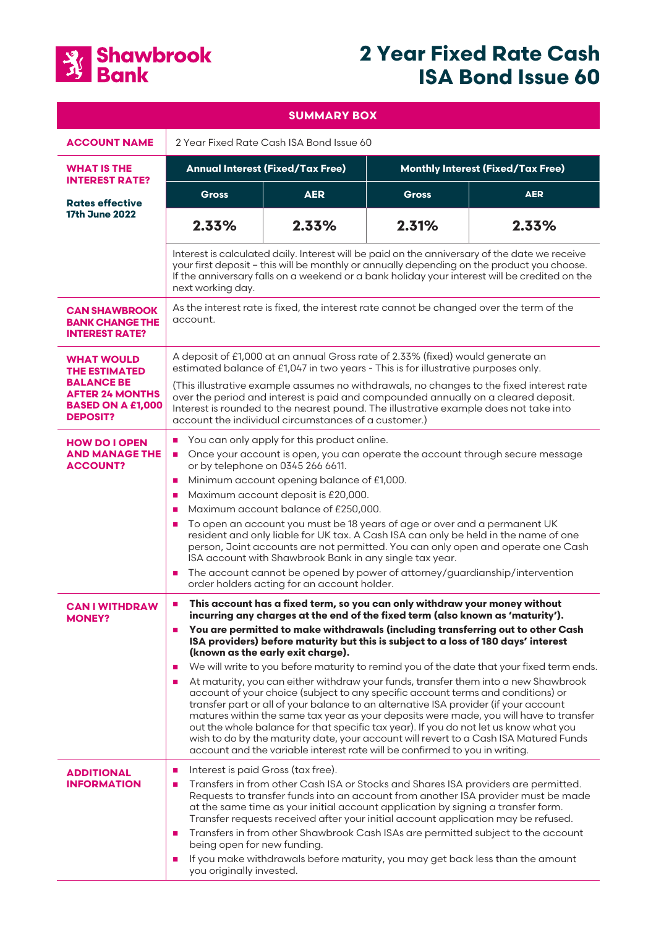

# **2 Year Fixed Rate Cash ISA Bond Issue 60**

| <b>SUMMARY BOX</b>                                                                         |                                                                                                                                                                                                                                                                                                                                                                                                                                                                                                                                                                                                                                                                                                                                                                                                                                                                                                                                                                                                                                                                                                                                                                          |            |                                          |            |
|--------------------------------------------------------------------------------------------|--------------------------------------------------------------------------------------------------------------------------------------------------------------------------------------------------------------------------------------------------------------------------------------------------------------------------------------------------------------------------------------------------------------------------------------------------------------------------------------------------------------------------------------------------------------------------------------------------------------------------------------------------------------------------------------------------------------------------------------------------------------------------------------------------------------------------------------------------------------------------------------------------------------------------------------------------------------------------------------------------------------------------------------------------------------------------------------------------------------------------------------------------------------------------|------------|------------------------------------------|------------|
| <b>ACCOUNT NAME</b>                                                                        | 2 Year Fixed Rate Cash ISA Bond Issue 60                                                                                                                                                                                                                                                                                                                                                                                                                                                                                                                                                                                                                                                                                                                                                                                                                                                                                                                                                                                                                                                                                                                                 |            |                                          |            |
| <b>WHAT IS THE</b><br><b>INTEREST RATE?</b>                                                | <b>Annual Interest (Fixed/Tax Free)</b>                                                                                                                                                                                                                                                                                                                                                                                                                                                                                                                                                                                                                                                                                                                                                                                                                                                                                                                                                                                                                                                                                                                                  |            | <b>Monthly Interest (Fixed/Tax Free)</b> |            |
| <b>Rates effective</b><br><b>17th June 2022</b>                                            | Gross                                                                                                                                                                                                                                                                                                                                                                                                                                                                                                                                                                                                                                                                                                                                                                                                                                                                                                                                                                                                                                                                                                                                                                    | <b>AER</b> | <b>Gross</b>                             | <b>AER</b> |
|                                                                                            | 2.33%                                                                                                                                                                                                                                                                                                                                                                                                                                                                                                                                                                                                                                                                                                                                                                                                                                                                                                                                                                                                                                                                                                                                                                    | 2.33%      | 2.31%                                    | 2.33%      |
|                                                                                            | Interest is calculated daily. Interest will be paid on the anniversary of the date we receive<br>your first deposit - this will be monthly or annually depending on the product you choose.<br>If the anniversary falls on a weekend or a bank holiday your interest will be credited on the<br>next working day.                                                                                                                                                                                                                                                                                                                                                                                                                                                                                                                                                                                                                                                                                                                                                                                                                                                        |            |                                          |            |
| <b>CAN SHAWBROOK</b><br><b>BANK CHANGE THE</b><br><b>INTEREST RATE?</b>                    | As the interest rate is fixed, the interest rate cannot be changed over the term of the<br>account.                                                                                                                                                                                                                                                                                                                                                                                                                                                                                                                                                                                                                                                                                                                                                                                                                                                                                                                                                                                                                                                                      |            |                                          |            |
| <b>WHAT WOULD</b><br><b>THE ESTIMATED</b>                                                  | A deposit of £1,000 at an annual Gross rate of 2.33% (fixed) would generate an<br>estimated balance of £1,047 in two years - This is for illustrative purposes only.                                                                                                                                                                                                                                                                                                                                                                                                                                                                                                                                                                                                                                                                                                                                                                                                                                                                                                                                                                                                     |            |                                          |            |
| <b>BALANCE BE</b><br><b>AFTER 24 MONTHS</b><br><b>BASED ON A £1,000</b><br><b>DEPOSIT?</b> | (This illustrative example assumes no withdrawals, no changes to the fixed interest rate<br>over the period and interest is paid and compounded annually on a cleared deposit.<br>Interest is rounded to the nearest pound. The illustrative example does not take into<br>account the individual circumstances of a customer.)                                                                                                                                                                                                                                                                                                                                                                                                                                                                                                                                                                                                                                                                                                                                                                                                                                          |            |                                          |            |
| <b>HOW DO I OPEN</b><br><b>AND MANAGE THE</b><br><b>ACCOUNT?</b>                           | You can only apply for this product online.<br>Once your account is open, you can operate the account through secure message<br>$\blacksquare$<br>or by telephone on 0345 266 6611.<br>Minimum account opening balance of £1,000.<br>$\mathbf{r}$<br>Maximum account deposit is £20,000.<br>×<br>Maximum account balance of £250,000.<br>$\mathcal{L}_{\mathcal{A}}$<br>To open an account you must be 18 years of age or over and a permanent UK<br>×<br>resident and only liable for UK tax. A Cash ISA can only be held in the name of one<br>person, Joint accounts are not permitted. You can only open and operate one Cash<br>ISA account with Shawbrook Bank in any single tax year.<br>The account cannot be opened by power of attorney/guardianship/intervention<br>$\mathcal{L}_{\mathcal{A}}$<br>order holders acting for an account holder.                                                                                                                                                                                                                                                                                                                |            |                                          |            |
| <b>CAN I WITHDRAW</b><br><b>MONEY?</b>                                                     | This account has a fixed term, so you can only withdraw your money without<br>incurring any charges at the end of the fixed term (also known as 'maturity').<br>You are permitted to make withdrawals (including transferring out to other Cash<br>$\blacksquare$<br>ISA providers) before maturity but this is subject to a loss of 180 days' interest<br>(known as the early exit charge).<br>We will write to you before maturity to remind you of the date that your fixed term ends.<br>$\blacksquare$<br>At maturity, you can either withdraw your funds, transfer them into a new Shawbrook<br>$\mathcal{L}_{\mathcal{A}}$<br>account of your choice (subject to any specific account terms and conditions) or<br>transfer part or all of your balance to an alternative ISA provider (if your account<br>matures within the same tax year as your deposits were made, you will have to transfer<br>out the whole balance for that specific tax year). If you do not let us know what you<br>wish to do by the maturity date, your account will revert to a Cash ISA Matured Funds<br>account and the variable interest rate will be confirmed to you in writing. |            |                                          |            |
| <b>ADDITIONAL</b><br><b>INFORMATION</b>                                                    | Interest is paid Gross (tax free).<br>×<br>Transfers in from other Cash ISA or Stocks and Shares ISA providers are permitted.<br>$\mathcal{L}_{\mathcal{A}}$<br>Requests to transfer funds into an account from another ISA provider must be made<br>at the same time as your initial account application by signing a transfer form.<br>Transfer requests received after your initial account application may be refused.<br>Transfers in from other Shawbrook Cash ISAs are permitted subject to the account<br>$\mathcal{L}_{\mathcal{A}}$<br>being open for new funding.<br>If you make withdrawals before maturity, you may get back less than the amount<br>$\mathcal{L}_{\mathcal{A}}$<br>you originally invested.                                                                                                                                                                                                                                                                                                                                                                                                                                                |            |                                          |            |